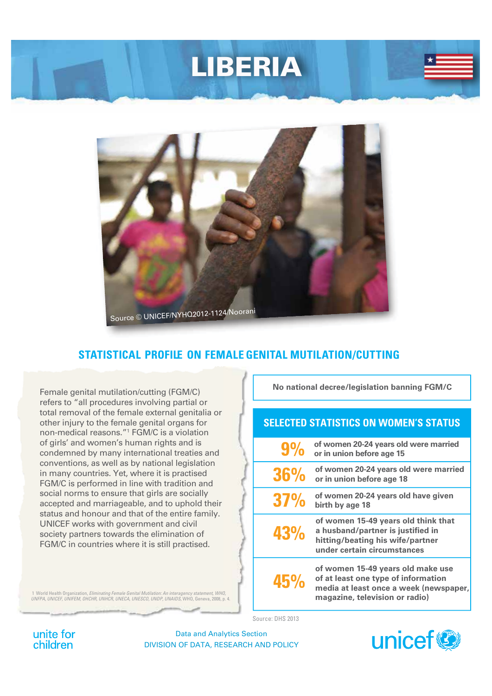# LIBERIA



# **STATISTICAL PROFILE ON FEMALE GENITAL MUTILATION/CUTTING**

Female genital mutilation/cutting (FGM/C) refers to "all procedures involving partial or total removal of the female external genitalia or other injury to the female genital organs for non-medical reasons."1 FGM/C is a violation of girls' and women's human rights and is condemned by many international treaties and conventions, as well as by national legislation in many countries. Yet, where it is practised FGM/C is performed in line with tradition and social norms to ensure that girls are socially accepted and marriageable, and to uphold their status and honour and that of the entire family. UNICEF works with government and civil society partners towards the elimination of FGM/C in countries where it is still practised.

**No national decree/legislation banning FGM/C**

### **SELECTED STATISTICS ON WOMEN'S STATUS**

|            | of women 20-24 years old were married<br>or in union before age 15                                                                                   |
|------------|------------------------------------------------------------------------------------------------------------------------------------------------------|
| <b>36%</b> | of women 20-24 years old were married<br>or in union before age 18                                                                                   |
| 37%        | of women 20-24 years old have given<br>birth by age 18                                                                                               |
| 43%        | of women 15-49 years old think that<br>a husband/partner is justified in<br>hitting/beating his wife/partner<br>under certain circumstances          |
| 45%        | of women 15-49 years old make use<br>of at least one type of information<br>media at least once a week (newspaper,<br>magazine, television or radio) |

1 World Health Organization, *Eliminating Female Genital Mutilation: An interagency statement, WHO, UNFPA, UNICEF, UNIFEM, OHCHR, UNHCR, UNECA, UNESCO, UNDP, UNAIDS*, WHO, Geneva, 2008, p. 4.

Source: DHS 2013

unite for children

Data and Analytics Section DIVISION OF DATA, RESEARCH AND POLICY

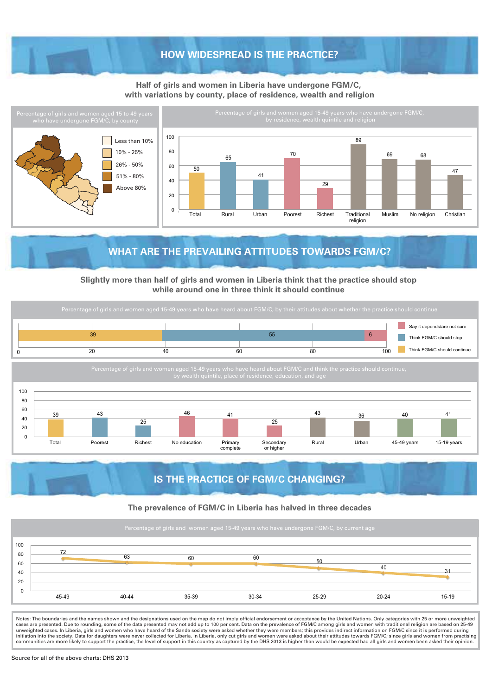#### **HOW WIDESPREAD IS THE PRACTICE?**

#### **Half of girls and women in Liberia have undergone FGM/C, with variations by county, place of residence, wealth and religion**



# **WHAT ARE THE PREVAILING ATTITUDES TOWARDS FGM/C?**

**Slightly more than half of girls and women in Liberia think that the practice should stop while around one in three think it should continue** 





# **IS THE PRACTICE OF FGM/C CHANGING?**

#### **The prevalence of FGM/C in Liberia has halved in three decades**



Notes: The boundaries and the names shown and the designations used on the map do not imply official endorsement or acceptance by the United Nations. Only categories with 25 or more unweighted<br>cases are presented. Due to r unweighted cases. In Liberia, girls and women who have heard of the Sande society were asked whether they were members; this provides indirect information on FGM/C since it is performed during<br>initiation into the society. communities are more likely to support the practice, the level of support in this country as captured by the DHS 2013 is higher than would be expected had all girls and women been asked their opinion.

Source for all of the above charts: DHS 2013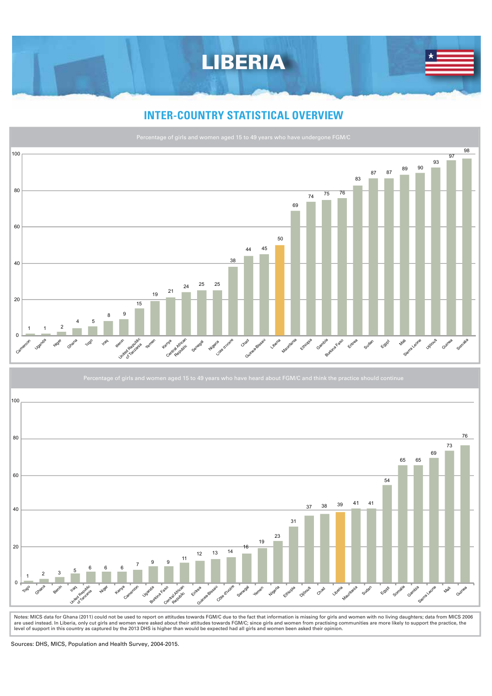

# **INTER-COUNTRY STATISTICAL OVERVIEW**





Notes: MICS data for Ghana (2011) could not be used to report on attitudes towards FGM/C due to the fact that information is missing for girls and women with no living daughters; data from MICS 2006 are used instead. In Liberia, only cut girls and women were asked about their attitudes towards FGM/C; since girls and women from practising communities are more likely to support the practice, the<br>level of support in this

Sources: DHS, MICS, Population and Health Survey, 2004-2015.